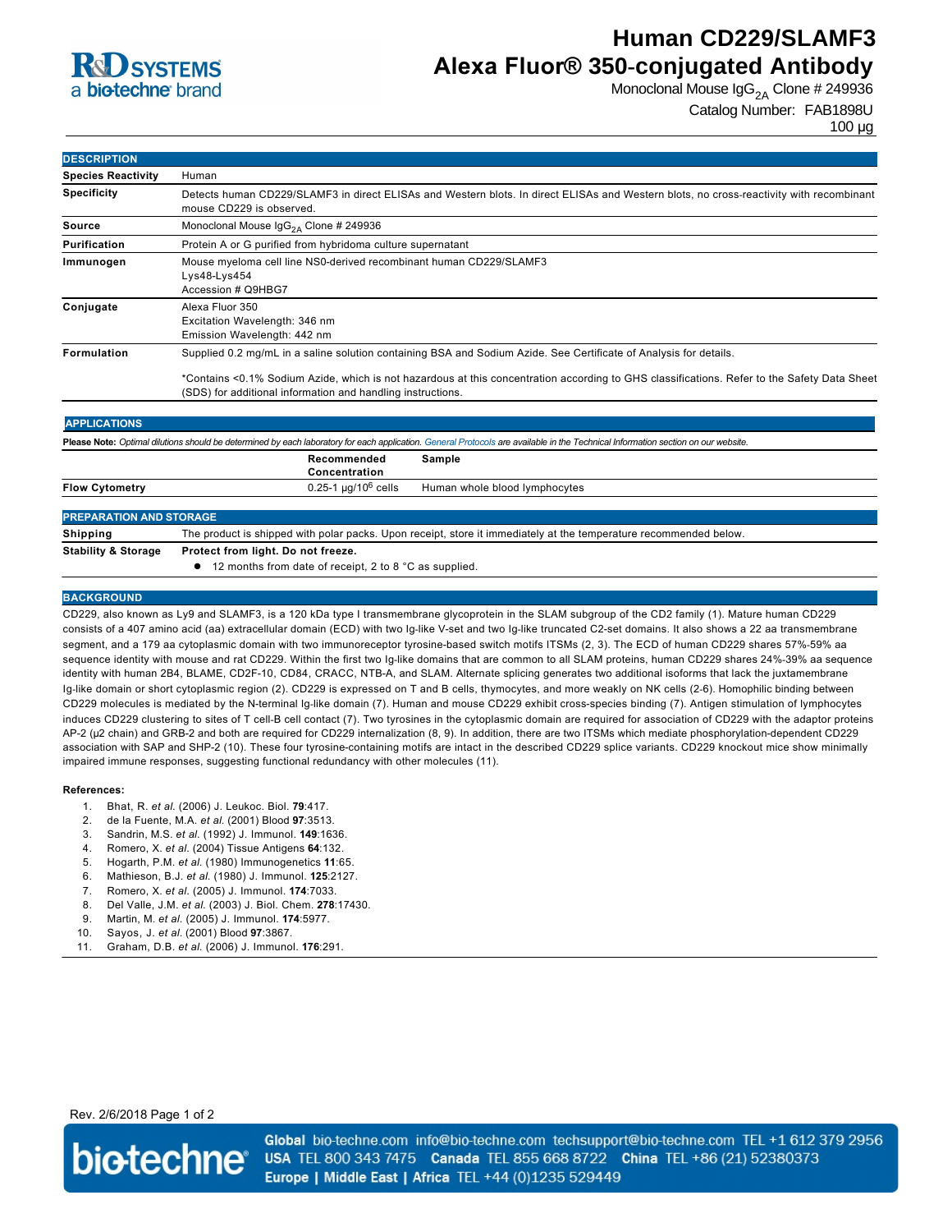

# **Human CD229/SLAMF3 Alexa Fluor® 350-conjugated Antibody**

Monoclonal Mouse  $\lg G_{2A}$  Clone # 249936

```
Catalog Number: FAB1898U
```
100 µg

| <b>DESCRIPTION</b>                                                                                                                                                                |                                                                                                                                                                                                                                                                                                                                 |                               |
|-----------------------------------------------------------------------------------------------------------------------------------------------------------------------------------|---------------------------------------------------------------------------------------------------------------------------------------------------------------------------------------------------------------------------------------------------------------------------------------------------------------------------------|-------------------------------|
| <b>Species Reactivity</b>                                                                                                                                                         | Human                                                                                                                                                                                                                                                                                                                           |                               |
| <b>Specificity</b>                                                                                                                                                                | Detects human CD229/SLAMF3 in direct ELISAs and Western blots. In direct ELISAs and Western blots, no cross-reactivity with recombinant<br>mouse CD229 is observed.                                                                                                                                                             |                               |
| <b>Source</b>                                                                                                                                                                     | Monoclonal Mouse $\text{lgG}_{2A}$ Clone # 249936                                                                                                                                                                                                                                                                               |                               |
| Purification                                                                                                                                                                      | Protein A or G purified from hybridoma culture supernatant                                                                                                                                                                                                                                                                      |                               |
| Immunogen                                                                                                                                                                         | Mouse myeloma cell line NS0-derived recombinant human CD229/SLAMF3<br>Lys48-Lys454<br>Accession # Q9HBG7                                                                                                                                                                                                                        |                               |
| Conjugate                                                                                                                                                                         | Alexa Fluor 350<br>Excitation Wavelength: 346 nm<br>Emission Wavelength: 442 nm                                                                                                                                                                                                                                                 |                               |
| Formulation                                                                                                                                                                       | Supplied 0.2 mg/mL in a saline solution containing BSA and Sodium Azide. See Certificate of Analysis for details.<br>*Contains <0.1% Sodium Azide, which is not hazardous at this concentration according to GHS classifications. Refer to the Safety Data Sheet<br>(SDS) for additional information and handling instructions. |                               |
|                                                                                                                                                                                   |                                                                                                                                                                                                                                                                                                                                 |                               |
| <b>APPLICATIONS</b>                                                                                                                                                               |                                                                                                                                                                                                                                                                                                                                 |                               |
| Please Note: Optimal dilutions should be determined by each laboratory for each application. General Protocols are available in the Technical Information section on our website. |                                                                                                                                                                                                                                                                                                                                 |                               |
|                                                                                                                                                                                   | Recommended<br>Sample<br>Concentration                                                                                                                                                                                                                                                                                          |                               |
| <b>Flow Cytometry</b>                                                                                                                                                             | 0.25-1 $\mu$ g/10 <sup>6</sup> cells                                                                                                                                                                                                                                                                                            | Human whole blood lymphocytes |
| <b>PREPARATION AND STORAGE</b>                                                                                                                                                    |                                                                                                                                                                                                                                                                                                                                 |                               |
| <b>Shipping</b>                                                                                                                                                                   | The product is shipped with polar packs. Upon receipt, store it immediately at the temperature recommended below.                                                                                                                                                                                                               |                               |
| <b>Stability &amp; Storage</b>                                                                                                                                                    | Protect from light. Do not freeze.                                                                                                                                                                                                                                                                                              |                               |

● 12 months from date of receipt, 2 to 8 °C as supplied.

### **BACKGROUND**

CD229, also known as Ly9 and SLAMF3, is a 120 kDa type I transmembrane glycoprotein in the SLAM subgroup of the CD2 family (1). Mature human CD229 consists of a 407 amino acid (aa) extracellular domain (ECD) with two Ig-like V-set and two Ig-like truncated C2-set domains. It also shows a 22 aa transmembrane segment, and a 179 aa cytoplasmic domain with two immunoreceptor tyrosine-based switch motifs ITSMs (2, 3). The ECD of human CD229 shares 57%-59% aa sequence identity with mouse and rat CD229. Within the first two Ig-like domains that are common to all SLAM proteins, human CD229 shares 24%-39% aa sequence identity with human 2B4, BLAME, CD2F-10, CD84, CRACC, NTB-A, and SLAM. Alternate splicing generates two additional isoforms that lack the juxtamembrane Ig-like domain or short cytoplasmic region (2). CD229 is expressed on T and B cells, thymocytes, and more weakly on NK cells (2-6). Homophilic binding between CD229 molecules is mediated by the Nterminal Iglike domain (7). Human and mouse CD229 exhibit crossspecies binding (7). Antigen stimulation of lymphocytes induces CD229 clustering to sites of T cell-B cell contact (7). Two tyrosines in the cytoplasmic domain are required for association of CD229 with the adaptor proteins AP-2 (μ2 chain) and GRB-2 and both are required for CD229 internalization (8, 9). In addition, there are two ITSMs which mediate phosphorylation-dependent CD229 association with SAP and SHP-2 (10). These four tyrosine-containing motifs are intact in the described CD229 splice variants. CD229 knockout mice show minimally impaired immune responses, suggesting functional redundancy with other molecules (11).

#### **References:**

- 1. Bhat, R. *et al*. (2006) J. Leukoc. Biol. **79**:417.
- 2. de la Fuente, M.A. *et al*. (2001) Blood **97**:3513.
- 3. Sandrin, M.S. *et al*. (1992) J. Immunol. **149**:1636.
- 4. Romero, X. *et al*. (2004) Tissue Antigens **64**:132.
- 5. Hogarth, P.M. *et al*. (1980) Immunogenetics **11**:65.
- 6. Mathieson, B.J. *et al*. (1980) J. Immunol. **125**:2127.
- 7. Romero, X. *et al*. (2005) J. Immunol. **174**:7033.
- 8. Del Valle, J.M. *et al*. (2003) J. Biol. Chem. **278**:17430.
- 9. Martin, M. *et al*. (2005) J. Immunol. **174**:5977.
- 10. Sayos, J. *et al*. (2001) Blood **97**:3867.
- 11. Graham, D.B. *et al*. (2006) J. Immunol. **176**:291.

Rev. 2/6/2018 Page 1 of 2



Global bio-techne.com info@bio-techne.com techsupport@bio-techne.com TEL +1 612 379 2956 USA TEL 800 343 7475 Canada TEL 855 668 8722 China TEL +86 (21) 52380373 Europe | Middle East | Africa TEL +44 (0)1235 529449